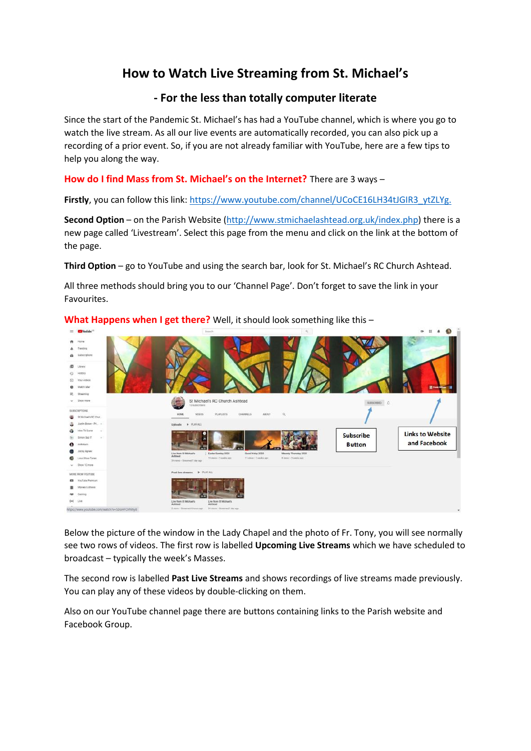# **How to Watch Live Streaming from St. Michael's**

## **- For the less than totally computer literate**

Since the start of the Pandemic St. Michael's has had a YouTube channel, which is where you go to watch the live stream. As all our live events are automatically recorded, you can also pick up a recording of a prior event. So, if you are not already familiar with YouTube, here are a few tips to help you along the way.

### **How do I find Mass from St. Michael's on the Internet?** There are 3 ways –

Firstly, you can follow this link[: https://www.youtube.com/channel/UCoCE16LH34tJGIR3\\_ytZLYg.](https://www.youtube.com/channel/UCoCE16LH34tJGIR3_ytZLYg.)

**Second Option** – on the Parish Website [\(http://www.stmichaelashtead.org.uk/index.php\)](http://www.stmichaelashtead.org.uk/index.php) there is a new page called 'Livestream'. Select this page from the menu and click on the link at the bottom of the page.

**Third Option** – go to YouTube and using the search bar, look for St. Michael's RC Church Ashtead.

All three methods should bring you to our 'Channel Page'. Don't forget to save the link in your Favourites.



**What Happens when I get there?** Well, it should look something like this –

Below the picture of the window in the Lady Chapel and the photo of Fr. Tony, you will see normally see two rows of videos. The first row is labelled **Upcoming Live Streams** which we have scheduled to broadcast – typically the week's Masses.

The second row is labelled **Past Live Streams** and shows recordings of live streams made previously. You can play any of these videos by double-clicking on them.

Also on our YouTube channel page there are buttons containing links to the Parish website and Facebook Group.